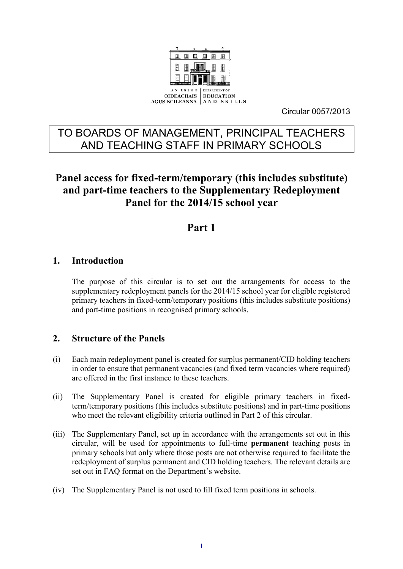

Circular 0057/2013

# TO BOARDS OF MANAGEMENT, PRINCIPAL TEACHERS AND TEACHING STAFF IN PRIMARY SCHOOLS

# **Panel access for fixed-term/temporary (this includes substitute) and part-time teachers to the Supplementary Redeployment Panel for the 2014/15 school year**

# **Part 1**

# **1. Introduction**

The purpose of this circular is to set out the arrangements for access to the supplementary redeployment panels for the 2014/15 school year for eligible registered primary teachers in fixed-term/temporary positions (this includes substitute positions) and part-time positions in recognised primary schools.

## **2. Structure of the Panels**

- (i) Each main redeployment panel is created for surplus permanent/CID holding teachers in order to ensure that permanent vacancies (and fixed term vacancies where required) are offered in the first instance to these teachers.
- (ii) The Supplementary Panel is created for eligible primary teachers in fixedterm/temporary positions (this includes substitute positions) and in part-time positions who meet the relevant eligibility criteria outlined in Part 2 of this circular.
- (iii) The Supplementary Panel, set up in accordance with the arrangements set out in this circular, will be used for appointments to full-time **permanent** teaching posts in primary schools but only where those posts are not otherwise required to facilitate the redeployment of surplus permanent and CID holding teachers. The relevant details are set out in FAQ format on the Department's website.
- (iv) The Supplementary Panel is not used to fill fixed term positions in schools.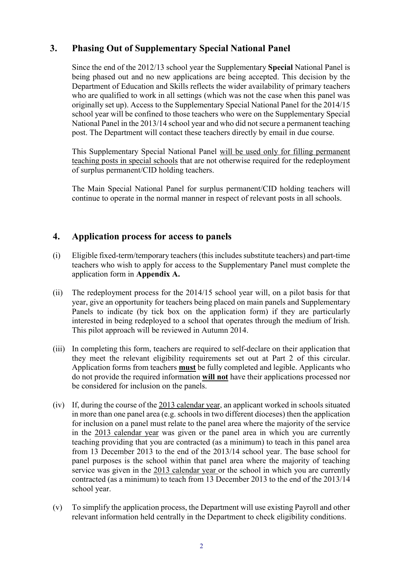# **3. Phasing Out of Supplementary Special National Panel**

Since the end of the 2012/13 school year the Supplementary **Special** National Panel is being phased out and no new applications are being accepted. This decision by the Department of Education and Skills reflects the wider availability of primary teachers who are qualified to work in all settings (which was not the case when this panel was originally set up). Access to the Supplementary Special National Panel for the 2014/15 school year will be confined to those teachers who were on the Supplementary Special National Panel in the 2013/14 school year and who did not secure a permanent teaching post. The Department will contact these teachers directly by email in due course.

This Supplementary Special National Panel will be used only for filling permanent teaching posts in special schools that are not otherwise required for the redeployment of surplus permanent/CID holding teachers.

The Main Special National Panel for surplus permanent/CID holding teachers will continue to operate in the normal manner in respect of relevant posts in all schools.

# **4. Application process for access to panels**

- (i) Eligible fixed-term/temporary teachers (this includes substitute teachers) and part-time teachers who wish to apply for access to the Supplementary Panel must complete the application form in **Appendix A.**
- (ii) The redeployment process for the 2014/15 school year will, on a pilot basis for that year, give an opportunity for teachers being placed on main panels and Supplementary Panels to indicate (by tick box on the application form) if they are particularly interested in being redeployed to a school that operates through the medium of Irish. This pilot approach will be reviewed in Autumn 2014.
- (iii) In completing this form, teachers are required to self-declare on their application that they meet the relevant eligibility requirements set out at Part 2 of this circular. Application forms from teachers **must** be fully completed and legible. Applicants who do not provide the required information **will not** have their applications processed nor be considered for inclusion on the panels.
- (iv) If, during the course of the 2013 calendar year, an applicant worked in schools situated in more than one panel area (e.g. schools in two different dioceses) then the application for inclusion on a panel must relate to the panel area where the majority of the service in the 2013 calendar year was given or the panel area in which you are currently teaching providing that you are contracted (as a minimum) to teach in this panel area from 13 December 2013 to the end of the 2013/14 school year. The base school for panel purposes is the school within that panel area where the majority of teaching service was given in the 2013 calendar year or the school in which you are currently contracted (as a minimum) to teach from 13 December 2013 to the end of the 2013/14 school year.
- (v) To simplify the application process, the Department will use existing Payroll and other relevant information held centrally in the Department to check eligibility conditions.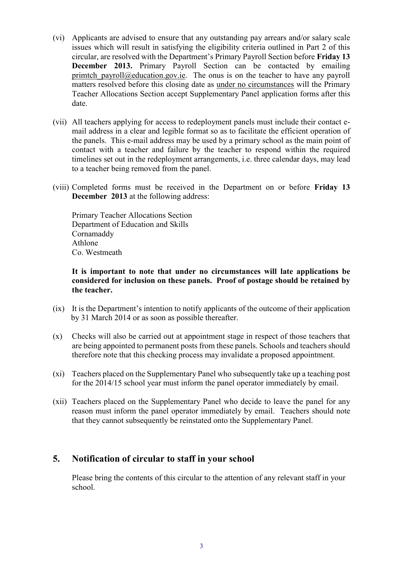- (vi) Applicants are advised to ensure that any outstanding pay arrears and/or salary scale issues which will result in satisfying the eligibility criteria outlined in Part 2 of this circular, are resolved with the Department's Primary Payroll Section before **Friday 13 December 2013.** Primary Payroll Section can be contacted by emailing [primtch\\_payroll@education.gov.ie.](mailto:primtch_payroll@education.gov.ie) The onus is on the teacher to have any payroll matters resolved before this closing date as under no circumstances will the Primary Teacher Allocations Section accept Supplementary Panel application forms after this date.
- (vii) All teachers applying for access to redeployment panels must include their contact email address in a clear and legible format so as to facilitate the efficient operation of the panels. This e-mail address may be used by a primary school as the main point of contact with a teacher and failure by the teacher to respond within the required timelines set out in the redeployment arrangements, i.e. three calendar days, may lead to a teacher being removed from the panel.
- (viii) Completed forms must be received in the Department on or before **Friday 13 December 2013** at the following address:

Primary Teacher Allocations Section Department of Education and Skills Cornamaddy Athlone Co. Westmeath

**It is important to note that under no circumstances will late applications be considered for inclusion on these panels. Proof of postage should be retained by the teacher.**

- (ix) It is the Department's intention to notify applicants of the outcome of their application by 31 March 2014 or as soon as possible thereafter.
- (x) Checks will also be carried out at appointment stage in respect of those teachers that are being appointed to permanent posts from these panels. Schools and teachers should therefore note that this checking process may invalidate a proposed appointment.
- (xi) Teachers placed on the Supplementary Panel who subsequently take up a teaching post for the 2014/15 school year must inform the panel operator immediately by email.
- (xii) Teachers placed on the Supplementary Panel who decide to leave the panel for any reason must inform the panel operator immediately by email. Teachers should note that they cannot subsequently be reinstated onto the Supplementary Panel.

## **5. Notification of circular to staff in your school**

Please bring the contents of this circular to the attention of any relevant staff in your school.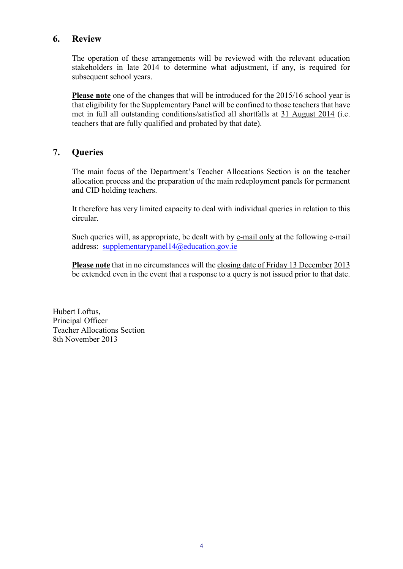### **6. Review**

The operation of these arrangements will be reviewed with the relevant education stakeholders in late 2014 to determine what adjustment, if any, is required for subsequent school years.

**Please note** one of the changes that will be introduced for the 2015/16 school year is that eligibility for the Supplementary Panel will be confined to those teachers that have met in full all outstanding conditions/satisfied all shortfalls at 31 August 2014 (i.e. teachers that are fully qualified and probated by that date).

# **7. Queries**

The main focus of the Department's Teacher Allocations Section is on the teacher allocation process and the preparation of the main redeployment panels for permanent and CID holding teachers.

It therefore has very limited capacity to deal with individual queries in relation to this circular.

Such queries will, as appropriate, be dealt with by e-mail only at the following e-mail address: [supplementarypanel14@education.gov.ie](mailto:supplementarypanel14@education.gov.ie)

**Please note** that in no circumstances will the closing date of Friday 13 December 2013 be extended even in the event that a response to a query is not issued prior to that date.

Hubert Loftus, Principal Officer Teacher Allocations Section 8th November 2013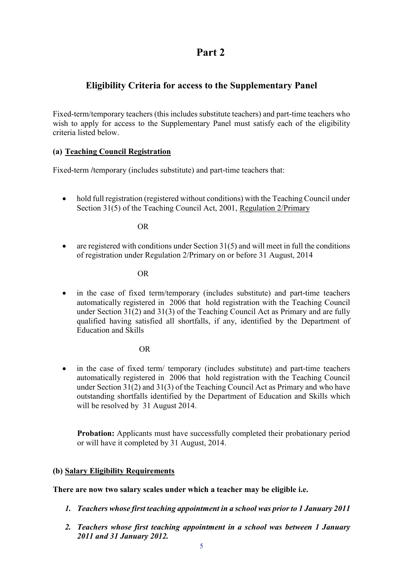# **Part 2**

# **Eligibility Criteria for access to the Supplementary Panel**

Fixed-term/temporary teachers (this includes substitute teachers) and part-time teachers who wish to apply for access to the Supplementary Panel must satisfy each of the eligibility criteria listed below.

### **(a) Teaching Council Registration**

Fixed-term /*temporary* (includes substitute) and part-time teachers that:

 hold full registration (registered without conditions) with the Teaching Council under Section 31(5) of the Teaching Council Act, 2001, Regulation 2/Primary

OR

 are registered with conditions under Section 31(5) and will meet in full the conditions of registration under Regulation 2/Primary on or before 31 August, 2014

#### OR

• in the case of fixed term/temporary (includes substitute) and part-time teachers automatically registered in 2006 that hold registration with the Teaching Council under Section 31(2) and 31(3) of the Teaching Council Act as Primary and are fully qualified having satisfied all shortfalls, if any, identified by the Department of Education and Skills

### OR

• in the case of fixed term/ temporary (includes substitute) and part-time teachers automatically registered in 2006 that hold registration with the Teaching Council under Section 31(2) and 31(3) of the Teaching Council Act as Primary and who have outstanding shortfalls identified by the Department of Education and Skills which will be resolved by 31 August 2014.

**Probation:** Applicants must have successfully completed their probationary period or will have it completed by 31 August, 2014.

### **(b) Salary Eligibility Requirements**

**There are now two salary scales under which a teacher may be eligible i.e.**

- *1. Teachers whose first teaching appointment in a school was prior to 1 January 2011*
- *2. Teachers whose first teaching appointment in a school was between 1 January 2011 and 31 January 2012.*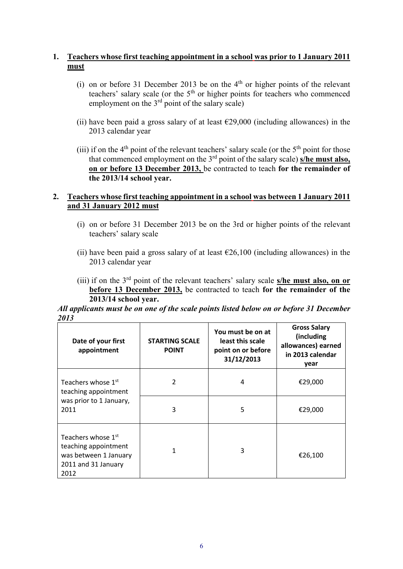### **1. Teachers whose first teaching appointment in a school was prior to 1 January 2011 must**

- (i) on or before 31 December 2013 be on the  $4<sup>th</sup>$  or higher points of the relevant teachers' salary scale (or the  $5<sup>th</sup>$  or higher points for teachers who commenced employment on the  $3<sup>rd</sup>$  point of the salary scale)
- (ii) have been paid a gross salary of at least  $\epsilon$ 29,000 (including allowances) in the 2013 calendar year
- (iii) if on the  $4<sup>th</sup>$  point of the relevant teachers' salary scale (or the  $5<sup>th</sup>$  point for those that commenced employment on the 3rd point of the salary scale) **s/he must also, on or before 13 December 2013,** be contracted to teach **for the remainder of the 2013/14 school year.**

### **2. Teachers whose first teaching appointment in a school was between 1 January 2011 and 31 January 2012 must**

- (i) on or before 31 December 2013 be on the 3rd or higher points of the relevant teachers' salary scale
- (ii) have been paid a gross salary of at least  $\epsilon$ 26,100 (including allowances) in the 2013 calendar year
- (iii) if on the 3 rd point of the relevant teachers' salary scale **s/he must also, on or before 13 December 2013,** be contracted to teach **for the remainder of the 2013/14 school year.**

### *All applicants must be on one of the scale points listed below on or before 31 December 2013*

| Date of your first<br>appointment                                                                  | <b>STARTING SCALE</b><br><b>POINT</b> | You must be on at<br>least this scale<br>point on or before<br>31/12/2013 | <b>Gross Salary</b><br>(including<br>allowances) earned<br>in 2013 calendar<br>year |
|----------------------------------------------------------------------------------------------------|---------------------------------------|---------------------------------------------------------------------------|-------------------------------------------------------------------------------------|
| Teachers whose 1 <sup>st</sup><br>teaching appointment                                             | 2                                     | 4                                                                         | €29,000                                                                             |
| was prior to 1 January,<br>2011                                                                    | 3                                     | 5                                                                         | €29,000                                                                             |
| Teachers whose 1st<br>teaching appointment<br>was between 1 January<br>2011 and 31 January<br>2012 | 1                                     | 3                                                                         | €26,100                                                                             |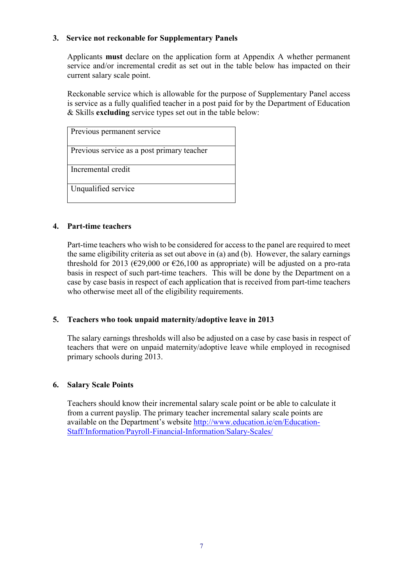### **3. Service not reckonable for Supplementary Panels**

Applicants **must** declare on the application form at Appendix A whether permanent service and/or incremental credit as set out in the table below has impacted on their current salary scale point.

Reckonable service which is allowable for the purpose of Supplementary Panel access is service as a fully qualified teacher in a post paid for by the Department of Education & Skills **excluding** service types set out in the table below:

Previous permanent service Previous service as a post primary teacher Incremental credit Unqualified service

#### **4. Part-time teachers**

Part-time teachers who wish to be considered for access to the panel are required to meet the same eligibility criteria as set out above in (a) and (b). However, the salary earnings threshold for 2013 ( $\epsilon$ 29,000 or  $\epsilon$ 26,100 as appropriate) will be adjusted on a pro-rata basis in respect of such part-time teachers. This will be done by the Department on a case by case basis in respect of each application that is received from part-time teachers who otherwise meet all of the eligibility requirements.

### **5. Teachers who took unpaid maternity/adoptive leave in 2013**

The salary earnings thresholds will also be adjusted on a case by case basis in respect of teachers that were on unpaid maternity/adoptive leave while employed in recognised primary schools during 2013.

#### **6. Salary Scale Points**

Teachers should know their incremental salary scale point or be able to calculate it from a current payslip. The primary teacher incremental salary scale points are available on the Department's website [http://www.education.ie/en/Education-](http://www.education.ie/en/Education-Staff/Information/Payroll-Financial-Information/Salary-Scales/)[Staff/Information/Payroll-Financial-Information/Salary-Scales/](http://www.education.ie/en/Education-Staff/Information/Payroll-Financial-Information/Salary-Scales/)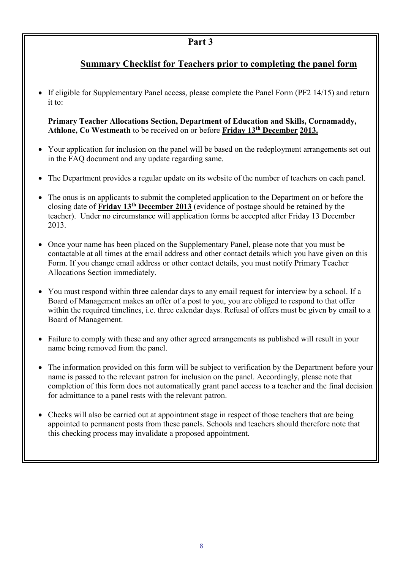# **Part 3**

# **Summary Checklist for Teachers prior to completing the panel form**

• If eligible for Supplementary Panel access, please complete the Panel Form (PF2 14/15) and return it to:

**Primary Teacher Allocations Section, Department of Education and Skills, Cornamaddy, Athlone, Co Westmeath** to be received on or before **Friday 13th December 2013.**

- Your application for inclusion on the panel will be based on the redeployment arrangements set out in the FAQ document and any update regarding same.
- The Department provides a regular update on its website of the number of teachers on each panel.
- The onus is on applicants to submit the completed application to the Department on or before the closing date of **Friday 13th December 2013** (evidence of postage should be retained by the teacher). Under no circumstance will application forms be accepted after Friday 13 December 2013.
- Once your name has been placed on the Supplementary Panel, please note that you must be contactable at all times at the email address and other contact details which you have given on this Form. If you change email address or other contact details, you must notify Primary Teacher Allocations Section immediately.
- You must respond within three calendar days to any email request for interview by a school. If a Board of Management makes an offer of a post to you, you are obliged to respond to that offer within the required timelines, i.e. three calendar days. Refusal of offers must be given by email to a Board of Management.
- Failure to comply with these and any other agreed arrangements as published will result in your name being removed from the panel.
- The information provided on this form will be subject to verification by the Department before your name is passed to the relevant patron for inclusion on the panel. Accordingly, please note that completion of this form does not automatically grant panel access to a teacher and the final decision for admittance to a panel rests with the relevant patron.
- Checks will also be carried out at appointment stage in respect of those teachers that are being appointed to permanent posts from these panels. Schools and teachers should therefore note that this checking process may invalidate a proposed appointment.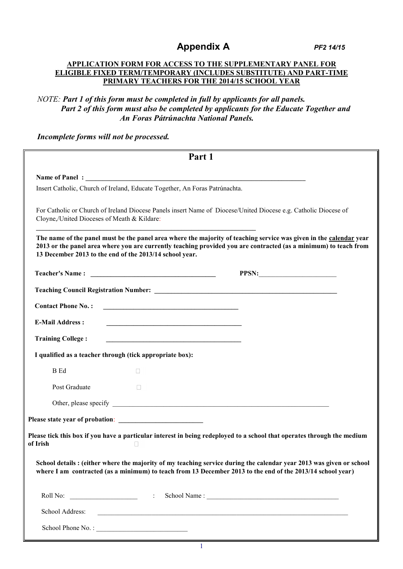# **Appendix A** *PF2 14/15*

#### **APPLICATION FORM FOR ACCESS TO THE SUPPLEMENTARY PANEL FOR ELIGIBLE FIXED TERM/TEMPORARY (INCLUDES SUBSTITUTE) AND PART-TIME PRIMARY TEACHERS FOR THE 2014/15 SCHOOL YEAR**

#### *NOTE: Part 1 of this form must be completed in full by applicants for all panels. Part 2 of this form must also be completed by applicants for the Educate Together and An Foras Pátrúnachta National Panels.*

#### *Incomplete forms will not be processed.*

| Part 1                                                                                                                                                                                                                                                                                            |
|---------------------------------------------------------------------------------------------------------------------------------------------------------------------------------------------------------------------------------------------------------------------------------------------------|
|                                                                                                                                                                                                                                                                                                   |
| Insert Catholic, Church of Ireland, Educate Together, An Foras Patrúnachta.                                                                                                                                                                                                                       |
| For Catholic or Church of Ireland Diocese Panels insert Name of Diocese/United Diocese e.g. Catholic Diocese of<br>Cloyne,/United Dioceses of Meath & Kildare:                                                                                                                                    |
| The name of the panel must be the panel area where the majority of teaching service was given in the calendar year<br>2013 or the panel area where you are currently teaching provided you are contracted (as a minimum) to teach from<br>13 December 2013 to the end of the 2013/14 school year. |
| PPSN:                                                                                                                                                                                                                                                                                             |
|                                                                                                                                                                                                                                                                                                   |
| <b>Contact Phone No.:</b><br><u> 1989 - Johann Barbara, martin amerikan basar dan basa dan basa dan basa dalam basa dalam basa dalam basa dan</u>                                                                                                                                                 |
| <b>E-Mail Address:</b><br><u> 1989 - Johann Stein, mars an deutscher Stein und der Stein und der Stein und der Stein und der Stein und der</u>                                                                                                                                                    |
| <b>Training College:</b><br><u> 1989 - Johann Harry Barn, mars ar breist fan de Amerikaansk kommunent fan de Amerikaanske kommunent fan de A</u>                                                                                                                                                  |
| I qualified as a teacher through (tick appropriate box):                                                                                                                                                                                                                                          |
| <b>B</b> Ed<br>П                                                                                                                                                                                                                                                                                  |
| Post Graduate                                                                                                                                                                                                                                                                                     |
|                                                                                                                                                                                                                                                                                                   |
|                                                                                                                                                                                                                                                                                                   |
| Please tick this box if you have a particular interest in being redeployed to a school that operates through the medium<br>of Irish                                                                                                                                                               |
| School details : (either where the majority of my teaching service during the calendar year 2013 was given or school<br>where I am contracted (as a minimum) to teach from 13 December 2013 to the end of the 2013/14 school year)                                                                |
| $\therefore$ School Name :                                                                                                                                                                                                                                                                        |
| School Address:                                                                                                                                                                                                                                                                                   |
|                                                                                                                                                                                                                                                                                                   |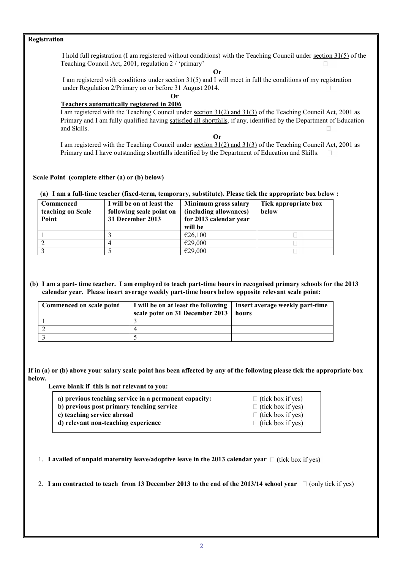#### **Registration**

I hold full registration (I am registered without conditions) with the Teaching Council under section 31(5) of the Teaching Council Act, 2001, regulation 2 / 'primary'  $\Box$ 

**Or**

 I am registered with conditions under section 31(5) and I will meet in full the conditions of my registration under Regulation 2/Primary on or before 31 August 2014.  $\Box$ 

#### **Or Teachers automatically registered in 2006**

I am registered with the Teaching Council under section 31(2) and 31(3) of the Teaching Council Act, 2001 as Primary and I am fully qualified having satisfied all shortfalls, if any, identified by the Department of Education and Skills.

**Or**

I am registered with the Teaching Council under section 31(2) and 31(3) of the Teaching Council Act, 2001 as Primary and I have outstanding shortfalls identified by the Department of Education and Skills.  $\Box$ 

#### **Scale Point (complete either (a) or (b) below)**

#### **(a) I am a full-time teacher (fixed-term, temporary, substitute). Please tick the appropriate box below :**

| Commenced<br>teaching on Scale<br>Point | I will be on at least the<br>following scale point on<br>31 December 2013 | Minimum gross salary<br>(including allowances)<br>for 2013 calendar year<br>will be | Tick appropriate box<br>below |
|-----------------------------------------|---------------------------------------------------------------------------|-------------------------------------------------------------------------------------|-------------------------------|
|                                         |                                                                           | €26,100                                                                             |                               |
|                                         |                                                                           | €29.000                                                                             |                               |
|                                         |                                                                           | €29,000                                                                             |                               |

**(b) I am a part- time teacher. I am employed to teach part-time hours in recognised primary schools for the 2013 calendar year. Please insert average weekly part-time hours below opposite relevant scale point:**

| Commenced on scale point | I will be on at least the following   Insert average weekly part-time<br>scale point on 31 December 2013 | hours |
|--------------------------|----------------------------------------------------------------------------------------------------------|-------|
|                          |                                                                                                          |       |
|                          |                                                                                                          |       |
|                          |                                                                                                          |       |

**If in (a) or (b) above your salary scale point has been affected by any of the following please tick the appropriate box below.** 

**Leave blank if this is not relevant to you:**

| a) previous teaching service in a permanent capacity: | $\Box$ (tick box if yes) |
|-------------------------------------------------------|--------------------------|
| b) previous post primary teaching service             | $\Box$ (tick box if yes) |
| c) teaching service abroad                            | $\Box$ (tick box if yes) |
| d) relevant non-teaching experience                   | $\Box$ (tick box if yes) |
|                                                       |                          |

1. **I availed of unpaid maternity leave/adoptive leave in the 2013 calendar year**  $\Box$  (tick box if yes)

2. **I am contracted to teach from 13 December 2013 to the end of the 2013/14 school year**  $\Box$  (only tick if yes)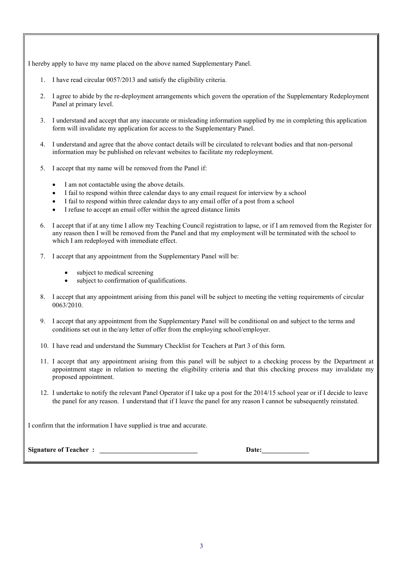I hereby apply to have my name placed on the above named Supplementary Panel.

- 1. I have read circular 0057/2013 and satisfy the eligibility criteria.
- 2. I agree to abide by the re-deployment arrangements which govern the operation of the Supplementary Redeployment Panel at primary level.
- 3. I understand and accept that any inaccurate or misleading information supplied by me in completing this application form will invalidate my application for access to the Supplementary Panel.
- 4. I understand and agree that the above contact details will be circulated to relevant bodies and that non-personal information may be published on relevant websites to facilitate my redeployment.
- 5. I accept that my name will be removed from the Panel if:
	- I am not contactable using the above details.
	- I fail to respond within three calendar days to any email request for interview by a school
	- I fail to respond within three calendar days to any email offer of a post from a school
	- I refuse to accept an email offer within the agreed distance limits
- 6. I accept that if at any time I allow my Teaching Council registration to lapse, or if I am removed from the Register for any reason then I will be removed from the Panel and that my employment will be terminated with the school to which I am redeployed with immediate effect.
- 7. I accept that any appointment from the Supplementary Panel will be:
	- subject to medical screening
	- subject to confirmation of qualifications.
- 8. I accept that any appointment arising from this panel will be subject to meeting the vetting requirements of circular 0063/2010.
- 9. I accept that any appointment from the Supplementary Panel will be conditional on and subject to the terms and conditions set out in the/any letter of offer from the employing school/employer.
- 10. I have read and understand the Summary Checklist for Teachers at Part 3 of this form.
- 11. I accept that any appointment arising from this panel will be subject to a checking process by the Department at appointment stage in relation to meeting the eligibility criteria and that this checking process may invalidate my proposed appointment.
- 12. I undertake to notify the relevant Panel Operator if I take up a post for the 2014/15 school year or if I decide to leave the panel for any reason. I understand that if I leave the panel for any reason I cannot be subsequently reinstated.

I confirm that the information I have supplied is true and accurate.

**Signature of Teacher : \_\_\_\_\_\_\_\_\_\_\_\_\_\_\_\_\_\_\_\_\_\_\_\_\_\_\_\_\_ Date:\_\_\_\_\_\_\_\_\_\_\_\_\_\_**